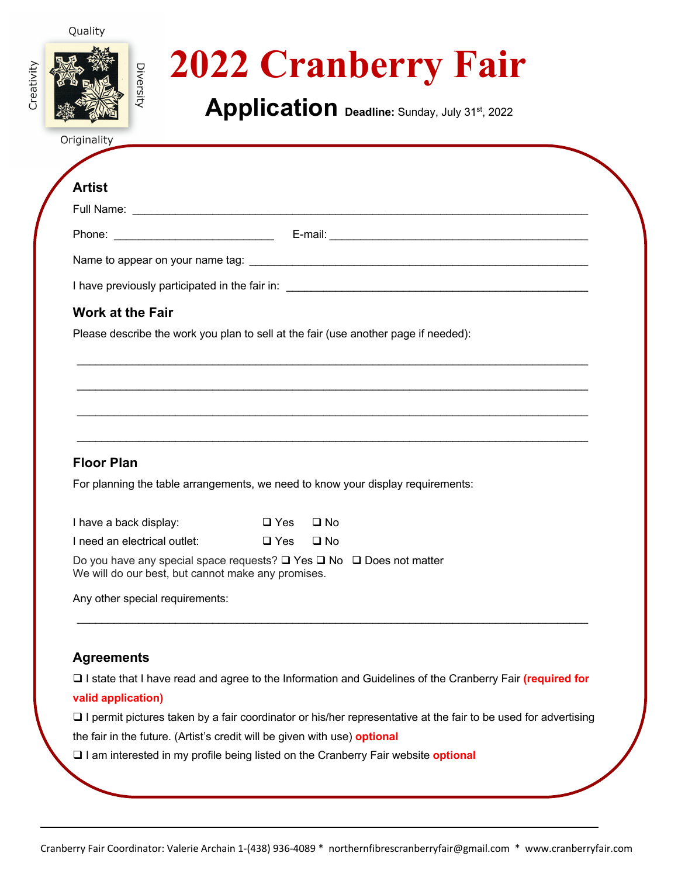#### Quality



# **2022 Cranberry Fair**

**Application Deadline:** Sunday, July 31st, 2022

Originality

# **Artist**

Phone: \_\_\_\_\_\_\_\_\_\_\_\_\_\_\_\_\_\_\_\_\_\_\_\_\_\_ E-mail: \_\_\_\_\_\_\_\_\_\_\_\_\_\_\_\_\_\_\_\_\_\_\_\_\_\_\_\_\_\_\_\_\_\_\_\_\_\_\_\_\_\_

\_\_\_\_\_\_\_\_\_\_\_\_\_\_\_\_\_\_\_\_\_\_\_\_\_\_\_\_\_\_\_\_\_\_\_\_\_\_\_\_\_\_\_\_\_\_\_\_\_\_\_\_\_\_\_\_\_\_\_\_\_\_\_\_\_\_\_\_\_\_\_\_\_\_\_\_\_\_\_\_\_\_\_

\_\_\_\_\_\_\_\_\_\_\_\_\_\_\_\_\_\_\_\_\_\_\_\_\_\_\_\_\_\_\_\_\_\_\_\_\_\_\_\_\_\_\_\_\_\_\_\_\_\_\_\_\_\_\_\_\_\_\_\_\_\_\_\_\_\_\_\_\_\_\_\_\_\_\_\_\_\_\_\_\_\_\_

\_\_\_\_\_\_\_\_\_\_\_\_\_\_\_\_\_\_\_\_\_\_\_\_\_\_\_\_\_\_\_\_\_\_\_\_\_\_\_\_\_\_\_\_\_\_\_\_\_\_\_\_\_\_\_\_\_\_\_\_\_\_\_\_\_\_\_\_\_\_\_\_\_\_\_\_\_\_\_\_\_\_\_

 $\mathcal{L}_\mathcal{L} = \{ \mathcal{L}_\mathcal{L} = \{ \mathcal{L}_\mathcal{L} = \{ \mathcal{L}_\mathcal{L} = \{ \mathcal{L}_\mathcal{L} = \{ \mathcal{L}_\mathcal{L} = \{ \mathcal{L}_\mathcal{L} = \{ \mathcal{L}_\mathcal{L} = \{ \mathcal{L}_\mathcal{L} = \{ \mathcal{L}_\mathcal{L} = \{ \mathcal{L}_\mathcal{L} = \{ \mathcal{L}_\mathcal{L} = \{ \mathcal{L}_\mathcal{L} = \{ \mathcal{L}_\mathcal{L} = \{ \mathcal{L}_\mathcal{$ 

Name to appear on your name tag: \_\_\_\_\_\_\_\_\_\_\_\_\_\_\_\_\_\_\_\_\_\_\_\_\_\_\_\_\_\_\_\_\_\_\_\_\_\_\_\_\_\_\_\_\_\_\_\_\_\_\_\_\_\_\_

I have previously participated in the fair in: \_\_\_\_\_\_\_\_\_\_\_\_\_\_\_\_\_\_\_\_\_\_\_\_\_\_\_\_\_\_\_\_\_\_

# **Work at the Fair**

Please describe the work you plan to sell at the fair (use another page if needed):

# **Floor Plan**

For planning the table arrangements, we need to know your display requirements:

| I have a back display:       | □ Yes □ No |  |
|------------------------------|------------|--|
| I need an electrical outlet: | □ Yes □ No |  |

Do you have any special space requests?  $\Box$  Yes  $\Box$  No  $\Box$  Does not matter We will do our best, but cannot make any promises.

Any other special requirements:

### **Agreements**

□ I state that I have read and agree to the Information and Guidelines of the Cranberry Fair *(required for* **valid application)**

\_\_\_\_\_\_\_\_\_\_\_\_\_\_\_\_\_\_\_\_\_\_\_\_\_\_\_\_\_\_\_\_\_\_\_\_\_\_\_\_\_\_\_\_\_\_\_\_\_\_\_\_\_\_\_\_\_\_\_\_\_\_\_\_\_\_\_\_\_\_\_\_\_\_\_\_\_\_\_\_\_\_\_

 $\square$  I permit pictures taken by a fair coordinator or his/her representative at the fair to be used for advertising

the fair in the future. (Artist's credit will be given with use) **optional**

q I am interested in my profile being listed on the Cranberry Fair website **optional**